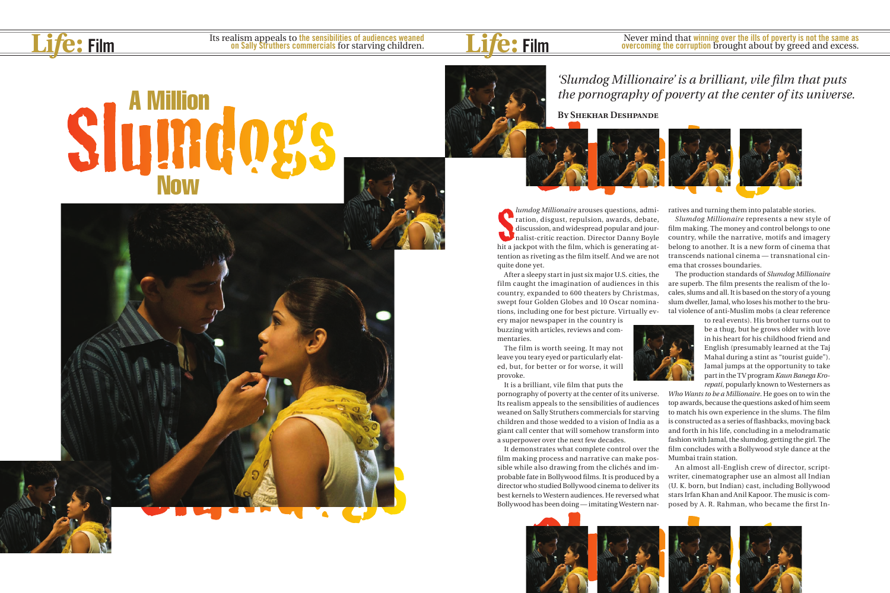

SLUMBER 19

## **Slumd**





lumdog Millionaire arouses questions, admiration, disgust, repulsion, awards, debate, discussion, and widespread popular and journalist-critic reaction. Director Danny Boyle hit a jackpot with the film, which is generating *lumdog Millionaire* arouses questions, admiration, disgust, repulsion, awards, debate, discussion, and widespread popular and journalist-critic reaction. Director Danny Boyle tention as riveting as the film itself. And we are not quite done yet.

After a sleepy start in just six major U.S. cities, the film caught the imagination of audiences in this country, expanded to 600 theaters by Christmas, swept four Golden Globes and 10 Oscar nominations, including one for best picture. Virtually ev-

ery major newspaper in the country is buzzing with articles, reviews and commentaries.

The film is worth seeing. It may not leave you teary eyed or particularly elated, but, for better or for worse, it will provoke.

It is a brilliant, vile film that puts the

pornography of poverty at the center of its universe. Its realism appeals to the sensibilities of audiences weaned on Sally Struthers commercials for starving children and those wedded to a vision of India as a giant call center that will somehow transform into a superpower over the next few decades.

It demonstrates what complete control over the film making process and narrative can make possible while also drawing from the clichés and improbable fate in Bollywood films. It is produced by a director who studied Bollywood cinema to deliver its best kernels to Western audiences. He reversed what Bollywood has been doing — imitating Western nar-

I has been doing—imitating Western nar-<br>posed by A. R. Rahman, who became the<br>posed by A. R. Rahman, who became the<br>posed by A. R. Rahman, who became the<br>posed by A. R. Rahman, who became the<br>posed by A. R. Rahman, who bec



ratives and turning them into palatable stories. *Slumdog Millionaire* represents a new style of film making. The money and control belongs to one country, while the narrative, motifs and imagery belong to another. It is a new form of cinema that transcends national cinema — transnational cinema that crosses boundaries.

The production standards of *Slumdog Millionaire* are superb. The film presents the realism of the locales, slums and all. It is based on the story of a young slum dweller, Jamal, who loses his mother to the brutal violence of anti-Muslim mobs (a clear reference

to real events). His brother turns out to be a thug, but he grows older with love in his heart for his childhood friend and English (presumably learned at the Taj Mahal during a stint as "tourist guide"). Jamal jumps at the opportunity to take part in the TV program *Kaun Banega Krorepati*, popularly known to Westerners as





*Who Wants to be a Millionaire*. He goes on to win the top awards, because the questions asked of him seem to match his own experience in the slums. The film is constructed as a series of flashbacks, moving back and forth in his life, concluding in a melodramatic fashion with Jamal, the slumdog, getting the girl. The film concludes with a Bollywood style dance at the Mumbai train station.

An almost all-English crew of director, scriptwriter, cinematographer use an almost all Indian (U. K. born, but Indian) cast, including Bollywood stars Irfan Khan and Anil Kapoor. The music is composed by A. R. Rahman, who became the first In-

## *'Slumdog Millionaire' is a brilliant, vile film that puts the pornography of poverty at the center of its universe.*

**By Shekhar Deshpande**

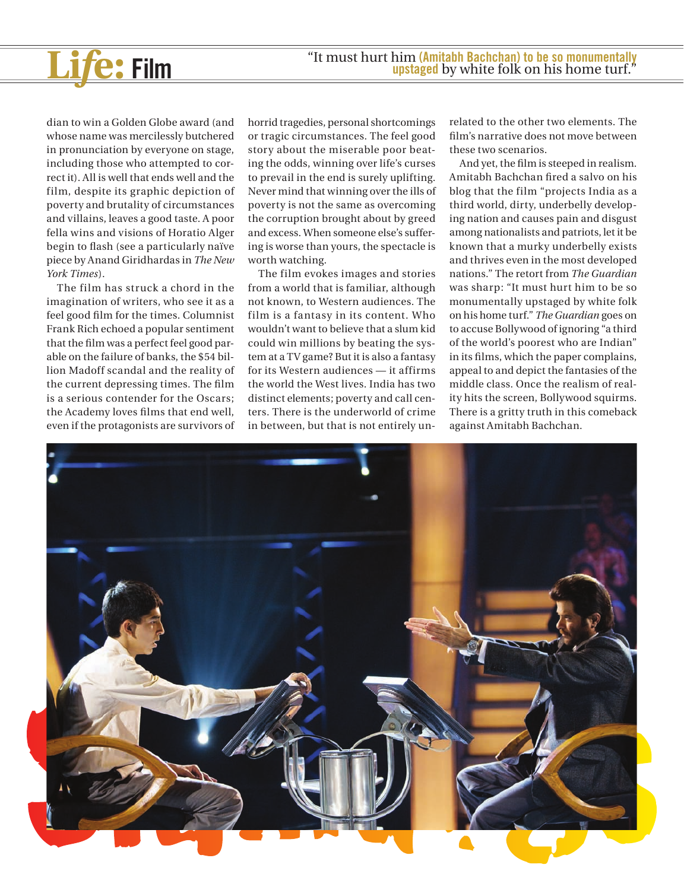

dian to win a Golden Globe award (and whose name was mercilessly butchered in pronunciation by everyone on stage, including those who attempted to correct it). All is well that ends well and the film, despite its graphic depiction of poverty and brutality of circumstances and villains, leaves a good taste. A poor fella wins and visions of Horatio Alger begin to flash (see a particularly naïve piece by Anand Giridhardas in *The New York Times*).

The film has struck a chord in the imagination of writers, who see it as a feel good film for the times. Columnist Frank Rich echoed a popular sentiment that the film was a perfect feel good parable on the failure of banks, the \$54 billion Madoff scandal and the reality of the current depressing times. The film is a serious contender for the Oscars; the Academy loves films that end well, even if the protagonists are survivors of horrid tragedies, personal shortcomings or tragic circumstances. The feel good story about the miserable poor beating the odds, winning over life's curses to prevail in the end is surely uplifting. Never mind that winning over the ills of poverty is not the same as overcoming the corruption brought about by greed and excess. When someone else's suffering is worse than yours, the spectacle is worth watching.

The film evokes images and stories from a world that is familiar, although not known, to Western audiences. The film is a fantasy in its content. Who wouldn't want to believe that a slum kid could win millions by beating the system at a TV game? But it is also a fantasy for its Western audiences — it affirms the world the West lives. India has two distinct elements; poverty and call centers. There is the underworld of crime in between, but that is not entirely un-

related to the other two elements. The film's narrative does not move between these two scenarios.

And yet, the film is steeped in realism. Amitabh Bachchan fired a salvo on his blog that the film "projects India as a third world, dirty, underbelly developing nation and causes pain and disgust among nationalists and patriots, let it be known that a murky underbelly exists and thrives even in the most developed nations." The retort from *The Guardian* was sharp: "It must hurt him to be so monumentally upstaged by white folk on his home turf." *The Guardian* goes on to accuse Bollywood of ignoring "a third of the world's poorest who are Indian" in its films, which the paper complains, appeal to and depict the fantasies of the middle class. Once the realism of reality hits the screen, Bollywood squirms. There is a gritty truth in this comeback against Amitabh Bachchan.

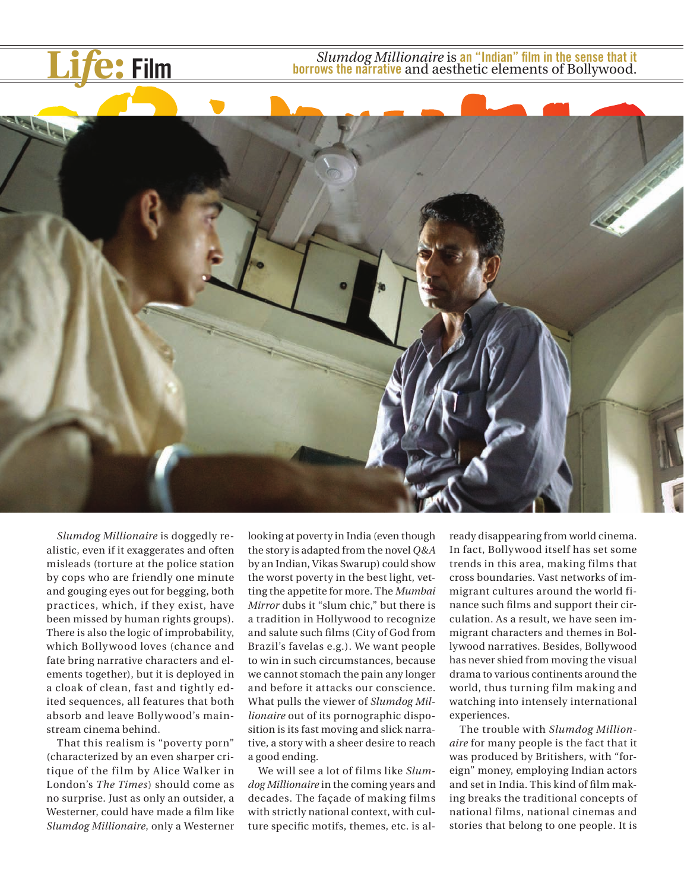**Life: Film** *Slumdog Millionaire* is an "Indian" film in the sense that it borrows the narrative and aesthetic elements of Bollywood. **borrows the narrative** and aesthetic elements of Bollywood.



*Slumdog Millionaire* is doggedly realistic, even if it exaggerates and often misleads (torture at the police station by cops who are friendly one minute and gouging eyes out for begging, both practices, which, if they exist, have been missed by human rights groups). There is also the logic of improbability, which Bolly wood loves (chance and fate bring narrative characters and elements together), but it is deployed in a cloak of clean, fast and tightly edited sequences, all features that both absorb and leave Bollywood's mainstream cinema behind.

That this realism is "poverty porn" (characterized by an even sharper critique of the film by Alice Walker in London's *The Times*) should come as no surprise. Just as only an outsider, a Westerner, could have made a film like *Slumdog Millionaire*, only a Westerner looking at poverty in India (even though the story is adapted from the novel *Q&A* by an Indian, Vikas Swarup) could show the worst poverty in the best light, vetting the appetite for more. The *Mumbai Mirror* dubs it "slum chic," but there is a tradition in Hollywood to recognize and salute such films (City of God from Brazil's favelas e.g.). We want people to win in such circumstances, because we cannot stomach the pain any longer and before it attacks our conscience. What pulls the viewer of *Slumdog Millionaire* out of its pornographic disposition is its fast moving and slick narrative, a story with a sheer desire to reach a good ending.

We will see a lot of films like *Slumdog Millionaire* in the coming years and decades. The façade of making films with strictly national context, with culture specific motifs, themes, etc. is already disappearing from world cinema. In fact, Bollywood itself has set some trends in this area, making films that cross boundaries. Vast networks of immigrant cultures around the world finance such films and support their circulation. As a result, we have seen immigrant characters and themes in Bollywood narratives. Besides, Bollywood has never shied from moving the visual drama to various continents around the world, thus turning film making and watching into intensely international experiences.

The trouble with *Slumdog Millionaire* for many people is the fact that it was produced by Britishers, with "foreign" money, employing Indian actors and set in India. This kind of film making breaks the traditional concepts of national films, national cinemas and stories that belong to one people. It is